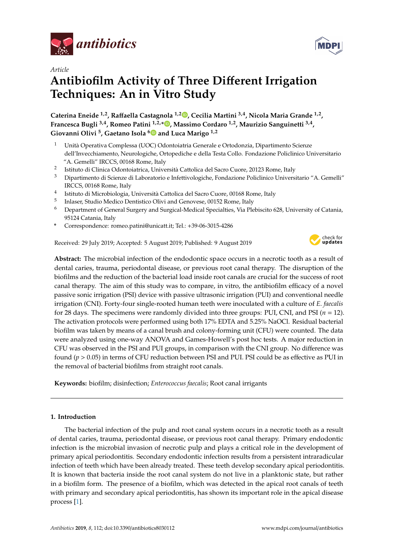

*Article*

# **Antibiofilm Activity of Three Di**ff**erent Irrigation Techniques: An in Vitro Study**

**Caterina Eneide 1,2, Ra**ff**aella Castagnola 1,2 [,](https://orcid.org/0000-0003-4994-6780) Cecilia Martini 3,4, Nicola Maria Grande 1,2 , Francesca Bugli 3,4, Romeo Patini 1,2,[\\*](https://orcid.org/0000-0001-7358-8763) , Massimo Cordaro 1,2, Maurizio Sanguinetti 3,4 , Giovanni Olivi <sup>5</sup> , Gaetano Isola [6](https://orcid.org/0000-0003-4267-6992) and Luca Marigo 1,2**

- <sup>1</sup> Unità Operativa Complessa (UOC) Odontoiatria Generale e Ortodonzia, Dipartimento Scienze dell'Invecchiamento, Neurologiche, Ortopediche e della Testa Collo. Fondazione Policlinico Universitario "A. Gemelli" IRCCS, 00168 Rome, Italy
- $2<sup>1</sup>$ Istituto di Clinica Odontoiatrica, Università Cattolica del Sacro Cuore, 20123 Rome, Italy
- <sup>3</sup> Dipartimento di Scienze di Laboratorio e Infettivologiche, Fondazione Policlinico Universitario "A. Gemelli" IRCCS, 00168 Rome, Italy
- 4 Istituto di Microbiologia, Università Cattolica del Sacro Cuore, 00168 Rome, Italy
- 5 Inlaser, Studio Medico Dentistico Olivi and Genovese, 00152 Rome, Italy
- <sup>6</sup> Department of General Surgery and Surgical-Medical Specialties, Via Plebiscito 628, University of Catania, 95124 Catania, Italy
- **\*** Correspondence: romeo.patini@unicatt.it; Tel.: +39-06-3015-4286

Received: 29 July 2019; Accepted: 5 August 2019; Published: 9 August 2019



MDP

**Abstract:** The microbial infection of the endodontic space occurs in a necrotic tooth as a result of dental caries, trauma, periodontal disease, or previous root canal therapy. The disruption of the biofilms and the reduction of the bacterial load inside root canals are crucial for the success of root canal therapy. The aim of this study was to compare, in vitro, the antibiofilm efficacy of a novel passive sonic irrigation (PSI) device with passive ultrasonic irrigation (PUI) and conventional needle irrigation (CNI). Forty-four single-rooted human teeth were inoculated with a culture of *E. faecalis* for 28 days. The specimens were randomly divided into three groups: PUI, CNI, and PSI (*n* = 12). The activation protocols were performed using both 17% EDTA and 5.25% NaOCl. Residual bacterial biofilm was taken by means of a canal brush and colony-forming unit (CFU) were counted. The data were analyzed using one-way ANOVA and Games-Howell's post hoc tests. A major reduction in CFU was observed in the PSI and PUI groups, in comparison with the CNI group. No difference was found (*p* > 0.05) in terms of CFU reduction between PSI and PUI. PSI could be as effective as PUI in the removal of bacterial biofilms from straight root canals.

**Keywords:** biofilm; disinfection; *Enterococcus faecalis*; Root canal irrigants

## **1. Introduction**

The bacterial infection of the pulp and root canal system occurs in a necrotic tooth as a result of dental caries, trauma, periodontal disease, or previous root canal therapy. Primary endodontic infection is the microbial invasion of necrotic pulp and plays a critical role in the development of primary apical periodontitis. Secondary endodontic infection results from a persistent intraradicular infection of teeth which have been already treated. These teeth develop secondary apical periodontitis. It is known that bacteria inside the root canal system do not live in a planktonic state, but rather in a biofilm form. The presence of a biofilm, which was detected in the apical root canals of teeth with primary and secondary apical periodontitis, has shown its important role in the apical disease process [\[1\]](#page-5-0).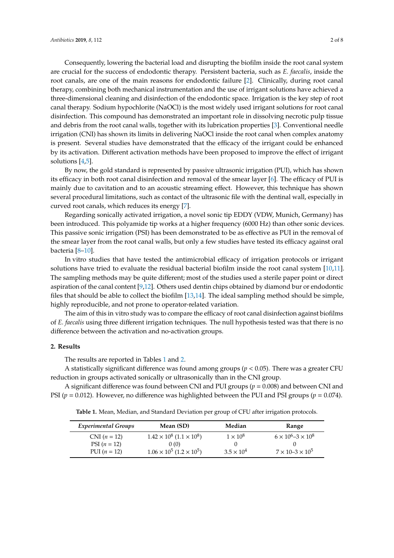Consequently, lowering the bacterial load and disrupting the biofilm inside the root canal system are crucial for the success of endodontic therapy. Persistent bacteria, such as *E. faecalis*, inside the root canals, are one of the main reasons for endodontic failure [\[2\]](#page-5-1). Clinically, during root canal therapy, combining both mechanical instrumentation and the use of irrigant solutions have achieved a three-dimensional cleaning and disinfection of the endodontic space. Irrigation is the key step of root canal therapy. Sodium hypochlorite (NaOCl) is the most widely used irrigant solutions for root canal disinfection. This compound has demonstrated an important role in dissolving necrotic pulp tissue and debris from the root canal walls, together with its lubrication properties [\[3\]](#page-6-0). Conventional needle irrigation (CNI) has shown its limits in delivering NaOCl inside the root canal when complex anatomy is present. Several studies have demonstrated that the efficacy of the irrigant could be enhanced by its activation. Different activation methods have been proposed to improve the effect of irrigant solutions [\[4](#page-6-1)[,5\]](#page-6-2).

By now, the gold standard is represented by passive ultrasonic irrigation (PUI), which has shown its efficacy in both root canal disinfection and removal of the smear layer [\[6\]](#page-6-3). The efficacy of PUI is mainly due to cavitation and to an acoustic streaming effect. However, this technique has shown several procedural limitations, such as contact of the ultrasonic file with the dentinal wall, especially in curved root canals, which reduces its energy [\[7\]](#page-6-4).

Regarding sonically activated irrigation, a novel sonic tip EDDY (VDW, Munich, Germany) has been introduced. This polyamide tip works at a higher frequency (6000 Hz) than other sonic devices. This passive sonic irrigation (PSI) has been demonstrated to be as effective as PUI in the removal of the smear layer from the root canal walls, but only a few studies have tested its efficacy against oral bacteria [\[8](#page-6-5)[–10\]](#page-6-6).

In vitro studies that have tested the antimicrobial efficacy of irrigation protocols or irrigant solutions have tried to evaluate the residual bacterial biofilm inside the root canal system [\[10,](#page-6-6)[11\]](#page-6-7). The sampling methods may be quite different; most of the studies used a sterile paper point or direct aspiration of the canal content [\[9](#page-6-8)[,12\]](#page-6-9). Others used dentin chips obtained by diamond bur or endodontic files that should be able to collect the biofilm [\[13,](#page-6-10)[14\]](#page-6-11). The ideal sampling method should be simple, highly reproducible, and not prone to operator-related variation.

The aim of this in vitro study was to compare the efficacy of root canal disinfection against biofilms of *E. faecalis* using three different irrigation techniques. The null hypothesis tested was that there is no difference between the activation and no-activation groups.

## **2. Results**

The results are reported in Tables [1](#page-1-0) and [2.](#page-2-0)

A statistically significant difference was found among groups (*p* < 0.05). There was a greater CFU reduction in groups activated sonically or ultrasonically than in the CNI group.

<span id="page-1-0"></span>A significant difference was found between CNI and PUI groups (*p* = 0.008) and between CNI and PSI (*p* = 0.012). However, no difference was highlighted between the PUI and PSI groups (*p* = 0.074).

**Table 1.** Mean, Median, and Standard Deviation per group of CFU after irrigation protocols.

| <b>Experimental Groups</b> | Mean (SD)                              | Median              | Range                               |
|----------------------------|----------------------------------------|---------------------|-------------------------------------|
| $CNI (n = 12)$             | $1.42 \times 10^8$ $(1.1 \times 10^8)$ | $1 \times 10^8$     | $6 \times 10^{6} - 3 \times 10^{8}$ |
| PSI $(n = 12)$             | (0(0)                                  |                     |                                     |
| PUI $(n = 12)$             | $1.06 \times 10^5$ $(1.2 \times 10^5)$ | $3.5 \times 10^{4}$ | $7 \times 10^{-3} \times 10^{5}$    |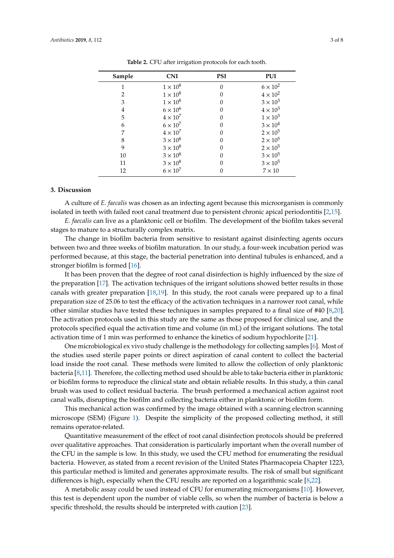<span id="page-2-0"></span>

| <b>CNI</b>      | <b>PSI</b> | <b>PUI</b>      |
|-----------------|------------|-----------------|
| $1 \times 10^8$ | $\Omega$   | $6 \times 10^2$ |
| $1 \times 10^8$ |            | $4\times10^2$   |
| $1 \times 10^8$ |            | $3 \times 10^3$ |
| $6 \times 10^6$ |            | $4 \times 10^3$ |
| $4 \times 10^7$ |            | $1 \times 10^3$ |
| $6 \times 10^7$ |            | $3 \times 10^4$ |
| $4 \times 10^7$ |            | $2 \times 10^5$ |
| $3 \times 10^8$ |            | $2 \times 10^5$ |
| $3 \times 10^8$ |            | $2 \times 10^5$ |
| $3 \times 10^8$ |            | $3 \times 10^5$ |
| $3 \times 10^8$ |            | $3 \times 10^5$ |
| $6 \times 10^7$ |            | $7 \times 10$   |
|                 |            |                 |

**Table 2.** CFU after irrigation protocols for each tooth.

### **3. Discussion**

A culture of *E. faecalis* was chosen as an infecting agent because this microorganism is commonly isolated in teeth with failed root canal treatment due to persistent chronic apical periodontitis [\[2](#page-5-1)[,15\]](#page-6-12).

*E. faecalis* can live as a planktonic cell or biofilm. The development of the biofilm takes several stages to mature to a structurally complex matrix.

The change in biofilm bacteria from sensitive to resistant against disinfecting agents occurs between two and three weeks of biofilm maturation. In our study, a four-week incubation period was performed because, at this stage, the bacterial penetration into dentinal tubules is enhanced, and a stronger biofilm is formed [\[16\]](#page-6-13).

It has been proven that the degree of root canal disinfection is highly influenced by the size of the preparation [\[17\]](#page-6-14). The activation techniques of the irrigant solutions showed better results in those canals with greater preparation [\[18](#page-6-15)[,19\]](#page-6-16). In this study, the root canals were prepared up to a final preparation size of 25.06 to test the efficacy of the activation techniques in a narrower root canal, while other similar studies have tested these techniques in samples prepared to a final size of #40 [\[8,](#page-6-5)[20\]](#page-6-17). The activation protocols used in this study are the same as those proposed for clinical use, and the protocols specified equal the activation time and volume (in mL) of the irrigant solutions. The total activation time of 1 min was performed to enhance the kinetics of sodium hypochlorite [\[21\]](#page-6-18).

One microbiological ex vivo study challenge is the methodology for collecting samples [\[6\]](#page-6-3). Most of the studies used sterile paper points or direct aspiration of canal content to collect the bacterial load inside the root canal. These methods were limited to allow the collection of only planktonic bacteria [\[8,](#page-6-5)[11\]](#page-6-7). Therefore, the collecting method used should be able to take bacteria either in planktonic or biofilm forms to reproduce the clinical state and obtain reliable results. In this study, a thin canal brush was used to collect residual bacteria. The brush performed a mechanical action against root canal walls, disrupting the biofilm and collecting bacteria either in planktonic or biofilm form.

This mechanical action was confirmed by the image obtained with a scanning electron scanning microscope (SEM) (Figure [1\)](#page-3-0). Despite the simplicity of the proposed collecting method, it still remains operator-related.

Quantitative measurement of the effect of root canal disinfection protocols should be preferred over qualitative approaches. That consideration is particularly important when the overall number of the CFU in the sample is low. In this study, we used the CFU method for enumerating the residual bacteria. However, as stated from a recent revision of the United States Pharmacopeia Chapter 1223, this particular method is limited and generates approximate results. The risk of small but significant differences is high, especially when the CFU results are reported on a logarithmic scale [\[8,](#page-6-5)[22\]](#page-6-19).

A metabolic assay could be used instead of CFU for enumerating microorganisms [\[10\]](#page-6-6). However, this test is dependent upon the number of viable cells, so when the number of bacteria is below a specific threshold, the results should be interpreted with caution [\[23\]](#page-7-0).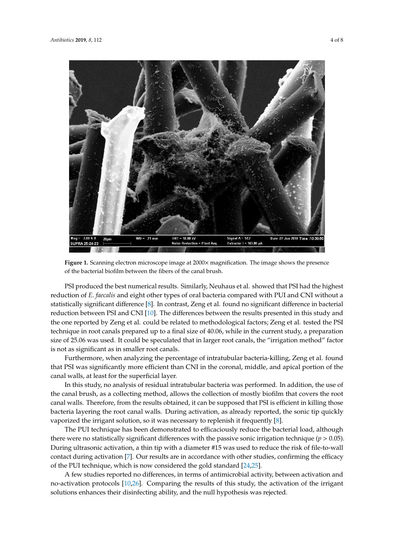<span id="page-3-0"></span>

**Figure 1.** Scanning electron microscope image at 2000× magnification. The image shows the presence **Figure 1.** Scanning electron microscope image at 2000× magnification. The image shows the presence of the bacterial biofilm between the fibers of the canal brush. of the bacterial biofilm between the fibers of the canal brush.

PSI produced the best numerical results. Similarly, Neuhaus et al. showed that PSI had the highest reduction of *E. faecalis* and eight other types of oral bacteria compared with PUI and CNI without a<br>statistically significant difference [8]. In contrast, Zeng et al. found no significant difference in bacterial statistically significant difference  $[8]$ . In contrast, Zeng et al. found no significant difference in bacterial reduction between PSI and CNI [10]. The differences between the results presented in this study and reduction between PSI and CNI [10]. The differences between the results presented in this study and<br>the one reported by Zeng et al. could be related to methodological factors; Zeng et al. tested the PSI technique in root canals prepared up to a final size of 40.06, while in the current study, a preparation technique in root canals prepared up to a final size of 40.06, while in the current study, a preparation<br>size of 25.06 was used. It could be speculated that in larger root canals, the "irrigation method" factor is not as significant as in smaller root canals.

Furthermore, when analyzing the percentage of intratubular bacteria-killing, Zeng et al. found that PSI was significantly more efficient than CNI in the coronal, middle, and apical portion of the<br>canal walls, at least for the superficial layer. canal walls, at least for the superficial layer.

In this study, no analysis of residual intratubular bacteria was performed. In addition, the use of In this study, no analysis of residual intratubular bacteria was performed. In addition, the use of<br>the canal brush, as a collecting method, allows the collection of mostly biofilm that covers the root canal walls. Therefore, from the results obtained, it can be supposed that PSI is efficient in killing those canal walls. Therefore, from the results obtained, it can be supposed that PSI is efficient in killing those<br>bacteria layering the root canal walls. During activation, as already reported, the sonic tip quickly vaporized the irrigant solution, so it was necessary to replenish it frequently [8].

The PUI technique has been demonstrated to efficaciously reduce the bacterial load, although there were no statistically significant differences with the passive sonic irrigation technique ( $p > 0.05$ ). During ultrasonic activation, a thin tip with a diameter #15 was used to reduce the risk of file-to-wall contact during activation [7]. Our results are in accordance with other studies, confirming the efficacy of the PUI technique, which is now considered the gold standard  $[24,25]$ .

A few studies reported no differences, in terms of antimicrobial activity, between activation and A few studies reported no differences, in terms of antimicrobial activity, between activation and no-activation protocols [10,26]. Comparing the results of this study, the activation of the irrigant solutions enhances their disinfecting ability, and the null hypothesis was rejected.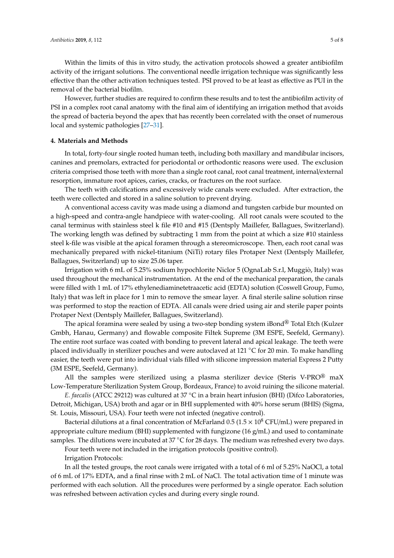Within the limits of this in vitro study, the activation protocols showed a greater antibiofilm activity of the irrigant solutions. The conventional needle irrigation technique was significantly less effective than the other activation techniques tested. PSI proved to be at least as effective as PUI in the removal of the bacterial biofilm.

However, further studies are required to confirm these results and to test the antibiofilm activity of PSI in a complex root canal anatomy with the final aim of identifying an irrigation method that avoids the spread of bacteria beyond the apex that has recently been correlated with the onset of numerous local and systemic pathologies [\[27–](#page-7-4)[31\]](#page-7-5).

## **4. Materials and Methods**

In total, forty-four single rooted human teeth, including both maxillary and mandibular incisors, canines and premolars, extracted for periodontal or orthodontic reasons were used. The exclusion criteria comprised those teeth with more than a single root canal, root canal treatment, internal/external resorption, immature root apices, caries, cracks, or fractures on the root surface.

The teeth with calcifications and excessively wide canals were excluded. After extraction, the teeth were collected and stored in a saline solution to prevent drying.

A conventional access cavity was made using a diamond and tungsten carbide bur mounted on a high-speed and contra-angle handpiece with water-cooling. All root canals were scouted to the canal terminus with stainless steel k file #10 and #15 (Dentsply Maillefer, Ballagues, Switzerland). The working length was defined by subtracting 1 mm from the point at which a size #10 stainless steel k-file was visible at the apical foramen through a stereomicroscope. Then, each root canal was mechanically prepared with nickel-titanium (NiTi) rotary files Protaper Next (Dentsply Maillefer, Ballagues, Switzerland) up to size 25.06 taper.

Irrigation with 6 mL of 5.25% sodium hypochlorite Niclor 5 (OgnaLab S.r.l, Muggiò, Italy) was used throughout the mechanical instrumentation. At the end of the mechanical preparation, the canals were filled with 1 mL of 17% ethylenediaminetetraacetic acid (EDTA) solution (Coswell Group, Fumo, Italy) that was left in place for 1 min to remove the smear layer. A final sterile saline solution rinse was performed to stop the reaction of EDTA. All canals were dried using air and sterile paper points Protaper Next (Dentsply Maillefer, Ballagues, Switzerland).

The apical foramina were sealed by using a two-step bonding system iBond® Total Etch (Kulzer Gmbh, Hanau, Germany) and flowable composite Filtek Supreme (3M ESPE, Seefeld, Germany). The entire root surface was coated with bonding to prevent lateral and apical leakage. The teeth were placed individually in sterilizer pouches and were autoclaved at 121 ◦C for 20 min. To make handling easier, the teeth were put into individual vials filled with silicone impression material Express 2 Putty (3M ESPE, Seefeld, Germany).

All the samples were sterilized using a plasma sterilizer device (Steris V-PRO $\textcircled{\tiny{R}}$  maX Low-Temperature Sterilization System Group, Bordeaux, France) to avoid ruining the silicone material.

*E. faecalis* (ATCC 29212) was cultured at 37 ℃ in a brain heart infusion (BHI) (Difco Laboratories, Detroit, Michigan, USA) broth and agar or in BHI supplemented with 40% horse serum (BHIS) (Sigma, St. Louis, Missouri, USA). Four teeth were not infected (negative control).

Bacterial dilutions at a final concentration of McFarland 0.5 ( $1.5 \times 10^8$  CFU/mL) were prepared in appropriate culture medium (BHI) supplemented with fungizone (16  $g/mL$ ) and used to contaminate samples. The dilutions were incubated at 37 °C for 28 days. The medium was refreshed every two days.

Four teeth were not included in the irrigation protocols (positive control).

Irrigation Protocols:

In all the tested groups, the root canals were irrigated with a total of 6 ml of 5.25% NaOCl, a total of 6 mL of 17% EDTA, and a final rinse with 2 mL of NaCl. The total activation time of 1 minute was performed with each solution. All the procedures were performed by a single operator. Each solution was refreshed between activation cycles and during every single round.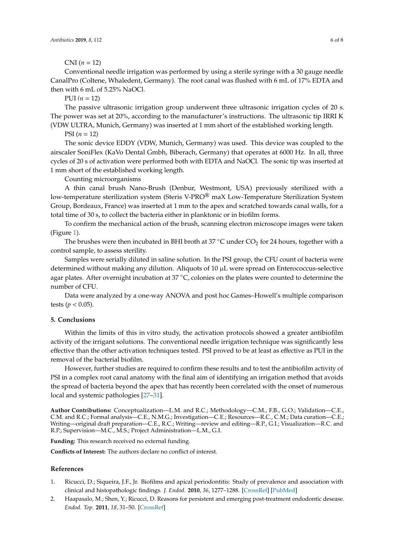$CNI (n = 12)$ 

Conventional needle irrigation was performed by using a sterile syringe with a 30 gauge needle CanalPro (Coltene, Whaledent, Germany). The root canal was flushed with 6 mL of 17% EDTA and then with 6 mL of 5.25% NaOCl.

PUI  $(n = 12)$ 

The passive ultrasonic irrigation group underwent three ultrasonic irrigation cycles of 20 s. The power was set at 20%, according to the manufacturer's instructions. The ultrasonic tip IRRI K (VDW ULTRA, Munich, Germany) was inserted at 1 mm short of the established working length.

PSI  $(n = 12)$ 

The sonic device EDDY (VDW, Munich, Germany) was used. This device was coupled to the airscaler SoniFlex (KaVo Dental Gmbh, Biberach, Germany) that operates at 6000 Hz. In all, three cycles of 20 s of activation were performed both with EDTA and NaOCl. The sonic tip was inserted at 1 mm short of the established working length.

Counting microorganisms

A thin canal brush Nano-Brush (Denbur, Westmont, USA) previously sterilized with a low-temperature sterilization system (Steris V-PRO® maX Low-Temperature Sterilization System Group, Bordeaux, France) was inserted at 1 mm to the apex and scratched towards canal walls, for a total time of 30 s, to collect the bacteria either in planktonic or in biofilm forms.

To confirm the mechanical action of the brush, scanning electron microscope images were taken (Figure [1\)](#page-3-0).

The brushes were then incubated in BHI broth at 37 °C under  $CO<sub>2</sub>$  for 24 hours, together with a control sample, to assess sterility.

Samples were serially diluted in saline solution. In the PSI group, the CFU count of bacteria were determined without making any dilution. Aliquots of  $10 \mu$ L were spread on Enterococcus-selective agar plates. After overnight incubation at 37 °C, colonies on the plates were counted to determine the number of CFU.

Data were analyzed by a one-way ANOVA and post hoc Games–Howell's multiple comparison tests ( $p < 0.05$ ).

### **5. Conclusions**

Within the limits of this in vitro study, the activation protocols showed a greater antibiofilm activity of the irrigant solutions. The conventional needle irrigation technique was significantly less effective than the other activation techniques tested. PSI proved to be at least as effective as PUI in the removal of the bacterial biofilm.

However, further studies are required to confirm these results and to test the antibiofilm activity of PSI in a complex root canal anatomy with the final aim of identifying an irrigation method that avoids the spread of bacteria beyond the apex that has recently been correlated with the onset of numerous local and systemic pathologies [\[27–](#page-7-4)[31\]](#page-7-5).

**Author Contributions:** Conceptualization—L.M. and R.C.; Methodology—C.M., F.B., G.O.; Validation—C.E., C.M. and R.C.; Formal analysis—C.E., N.M.G.; Investigation—C.E.; Resources—R.C., C.M.; Data curation—C.E.; Writing—original draft preparation—C.E., R.C.; Writing—review and editing—R.P., G.I.; Visualization—R.C. and R.P.; Supervision—M.C., M.S.; Project Administration—L.M., G.I.

**Funding:** This research received no external funding.

**Conflicts of Interest:** The authors declare no conflict of interest.

#### **References**

- <span id="page-5-0"></span>1. Ricucci, D.; Siqueira, J.F., Jr. Biofilms and apical periodontitis: Study of prevalence and association with clinical and histopathologic findings. *J. Endod.* **2010**, *36*, 1277–1288. [\[CrossRef\]](http://dx.doi.org/10.1016/j.joen.2010.04.007) [\[PubMed\]](http://www.ncbi.nlm.nih.gov/pubmed/20647081)
- <span id="page-5-1"></span>2. Haapasalo, M.; Shen, Y.; Ricucci, D. Reasons for persistent and emerging post-treatment endodontic desease. *Endod. Top.* **2011**, *18*, 31–50. [\[CrossRef\]](http://dx.doi.org/10.1111/j.1601-1546.2011.00256.x)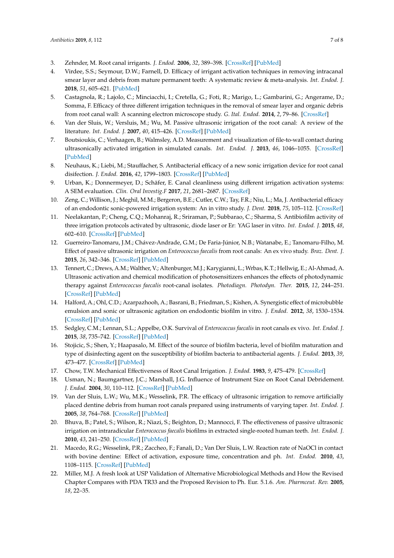- <span id="page-6-0"></span>3. Zehnder, M. Root canal irrigants. *J. Endod.* **2006**, *32*, 389–398. [\[CrossRef\]](http://dx.doi.org/10.1016/j.joen.2005.09.014) [\[PubMed\]](http://www.ncbi.nlm.nih.gov/pubmed/16631834)
- <span id="page-6-1"></span>4. Virdee, S.S.; Seymour, D.W.; Farnell, D. Efficacy of irrigant activation techniques in removing intracanal smear layer and debris from mature permanent teeth: A systematic review & meta-analysis. *Int. Endod. J.* **2018**, *51*, 605–621. [\[PubMed\]](http://www.ncbi.nlm.nih.gov/pubmed/29178166)
- <span id="page-6-2"></span>5. Castagnola, R.; Lajolo, C.; Minciacchi, I.; Cretella, G.; Foti, R.; Marigo, L.; Gambarini, G.; Angerame, D.; Somma, F. Efficacy of three different irrigation techniques in the removal of smear layer and organic debris from root canal wall: A scanning electron microscope study. *G. Ital. Endod.* **2014**, *2*, 79–86. [\[CrossRef\]](http://dx.doi.org/10.1016/j.gien.2014.09.001)
- <span id="page-6-3"></span>6. Van der Sluis, W.; Versluis, M.; Wu, M. Passive ultrasonic irrigation of the root canal: A review of the literature. *Int. Endod. J.* **2007**, *40*, 415–426. [\[CrossRef\]](http://dx.doi.org/10.1111/j.1365-2591.2007.01243.x) [\[PubMed\]](http://www.ncbi.nlm.nih.gov/pubmed/17442017)
- <span id="page-6-4"></span>7. Boutsioukis, C.; Verhaagen, B.; Walmsley, A.D. Measurement and visualization of file-to-wall contact during ultrasonically activated irrigation in simulated canals. *Int. Endod. J.* **2013**, *46*, 1046–1055. [\[CrossRef\]](http://dx.doi.org/10.1111/iej.12097) [\[PubMed\]](http://www.ncbi.nlm.nih.gov/pubmed/23521118)
- <span id="page-6-5"></span>8. Neuhaus, K.; Liebi, M.; Stauffacher, S. Antibacterial efficacy of a new sonic irrigation device for root canal disifection. *J. Endod.* **2016**, *42*, 1799–1803. [\[CrossRef\]](http://dx.doi.org/10.1016/j.joen.2016.08.024) [\[PubMed\]](http://www.ncbi.nlm.nih.gov/pubmed/27780580)
- <span id="page-6-8"></span>9. Urban, K.; Donnermeyer, D.; Schäfer, E. Canal cleanliness using different irrigation activation systems: A SEM evaluation. *Clin. Oral Investig.F* **2017**, *21*, 2681–2687. [\[CrossRef\]](http://dx.doi.org/10.1007/s00784-017-2070-x)
- <span id="page-6-6"></span>10. Zeng, C.; Willison, J.; Meghil, M.M.; Bergeron, B.E.; Cutler, C.W.; Tay, F.R.; Niu, L.; Ma, J. Antibacterial efficacy of an endodontic sonic-powered irrigation system: An in vitro study. *J. Dent.* **2018**, *75*, 105–112. [\[CrossRef\]](http://dx.doi.org/10.1016/j.jdent.2018.06.003)
- <span id="page-6-7"></span>11. Neelakantan, P.; Cheng, C.Q.; Mohanraj, R.; Sriraman, P.; Subbarao, C.; Sharma, S. Antibiofilm activity of three irrigation protocols activated by ultrasonic, diode laser or Er: YAG laser in vitro. *Int. Endod. J.* **2015**, *48*, 602–610. [\[CrossRef\]](http://dx.doi.org/10.1111/iej.12354) [\[PubMed\]](http://www.ncbi.nlm.nih.gov/pubmed/25080240)
- <span id="page-6-9"></span>12. Guerreiro-Tanomaru, J.M.; Chávez-Andrade, G.M.; De Faria-Júnior, N.B.; Watanabe, E.; Tanomaru-Filho, M. Effect of passive ultrasonic irrigation on *Enterococcus faecalis* from root canals: An ex vivo study. *Braz. Dent. J.* **2015**, *26*, 342–346. [\[CrossRef\]](http://dx.doi.org/10.1590/0103-6440201300022) [\[PubMed\]](http://www.ncbi.nlm.nih.gov/pubmed/26312969)
- <span id="page-6-10"></span>13. Tennert, C.; Drews, A.M.; Walther, V.; Altenburger, M.J.; Karygianni, L.; Wrbas, K.T.; Hellwig, E.; Al-Ahmad, A. Ultrasonic activation and chemical modification of photosensitizers enhances the effects of photodynamic therapy against *Enterococcus faecalis* root-canal isolates. *Photodiagn. Photodyn. Ther.* **2015**, *12*, 244–251. [\[CrossRef\]](http://dx.doi.org/10.1016/j.pdpdt.2015.02.002) [\[PubMed\]](http://www.ncbi.nlm.nih.gov/pubmed/25703104)
- <span id="page-6-11"></span>14. Halford, A.; Ohl, C.D.; Azarpazhooh, A.; Basrani, B.; Friedman, S.; Kishen, A. Synergistic effect of microbubble emulsion and sonic or ultrasonic agitation on endodontic biofilm in vitro. *J. Endod.* **2012**, *38*, 1530–1534. [\[CrossRef\]](http://dx.doi.org/10.1016/j.joen.2012.07.007) [\[PubMed\]](http://www.ncbi.nlm.nih.gov/pubmed/23063230)
- <span id="page-6-12"></span>15. Sedgley, C.M.; Lennan, S.L.; Appelbe, O.K. Survival of *Enterococcus faecalis* in root canals ex vivo. *Int. Endod. J.* **2015**, *38*, 735–742. [\[CrossRef\]](http://dx.doi.org/10.1111/j.1365-2591.2005.01009.x) [\[PubMed\]](http://www.ncbi.nlm.nih.gov/pubmed/16164688)
- <span id="page-6-13"></span>16. Stojicic, S.; Shen, Y.; Haapasalo, M. Effect of the source of biofilm bacteria, level of biofilm maturation and type of disinfecting agent on the susceptibility of biofilm bacteria to antibacterial agents. *J. Endod.* **2013**, *39*, 473–477. [\[CrossRef\]](http://dx.doi.org/10.1016/j.joen.2012.11.024) [\[PubMed\]](http://www.ncbi.nlm.nih.gov/pubmed/23522539)
- <span id="page-6-14"></span>17. Chow, T.W. Mechanical Effectiveness of Root Canal Irrigation. *J. Endod.* **1983**, *9*, 475–479. [\[CrossRef\]](http://dx.doi.org/10.1016/S0099-2399(83)80162-9)
- <span id="page-6-15"></span>18. Usman, N.; Baumgartner, J.C.; Marshall, J.G. Influence of Instrument Size on Root Canal Debridement. *J. Endod.* **2004**, *30*, 110–112. [\[CrossRef\]](http://dx.doi.org/10.1097/00004770-200402000-00012) [\[PubMed\]](http://www.ncbi.nlm.nih.gov/pubmed/14977309)
- <span id="page-6-16"></span>19. Van der Sluis, L.W.; Wu, M.K.; Wesselink, P.R. The efficacy of ultrasonic irrigation to remove artificially placed dentine debris from human root canals prepared using instruments of varying taper. *Int. Endod. J.* **2005**, *38*, 764–768. [\[CrossRef\]](http://dx.doi.org/10.1111/j.1365-2591.2005.01018.x) [\[PubMed\]](http://www.ncbi.nlm.nih.gov/pubmed/16164691)
- <span id="page-6-17"></span>20. Bhuva, B.; Patel, S.; Wilson, R.; Niazi, S.; Beighton, D.; Mannocci, F. The effectiveness of passive ultrasonic irrigation on intraradicular *Enterococcus faecalis* biofilms in extracted single-rooted human teeth. *Int. Endod. J.* **2010**, *43*, 241–250. [\[CrossRef\]](http://dx.doi.org/10.1111/j.1365-2591.2009.01672.x) [\[PubMed\]](http://www.ncbi.nlm.nih.gov/pubmed/20158536)
- <span id="page-6-18"></span>21. Macedo, R.G.; Wesselink, P.R.; Zaccheo, F.; Fanali, D.; Van Der Sluis, L.W. Reaction rate of NaOCl in contact with bovine dentine: Effect of activation, exposure time, concentration and ph. *Int. Endod.* **2010**, *43*, 1108–1115. [\[CrossRef\]](http://dx.doi.org/10.1111/j.1365-2591.2010.01785.x) [\[PubMed\]](http://www.ncbi.nlm.nih.gov/pubmed/20812947)
- <span id="page-6-19"></span>22. Miller, M.J. A fresh look at USP Validation of Alternative Microbiological Methods and How the Revised Chapter Compares with PDA TR33 and the Proposed Revision to Ph. Eur. 5.1.6. *Am. Pharmceut. Rev.* **2005**, *18*, 22–35.